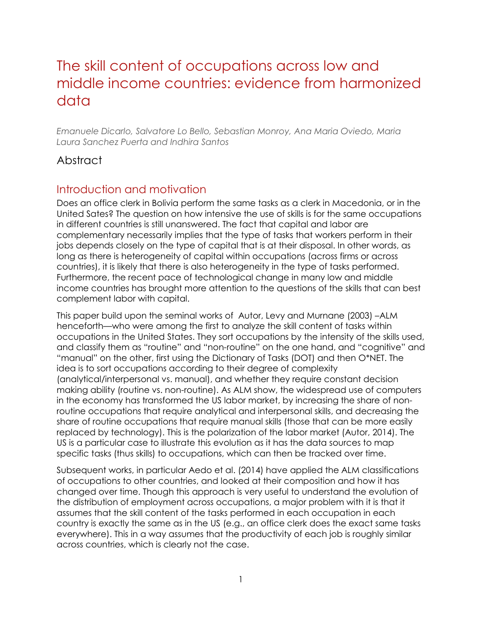# The skill content of occupations across low and middle income countries: evidence from harmonized data

*Emanuele Dicarlo, Salvatore Lo Bello, Sebastian Monroy, Ana Maria Oviedo, Maria Laura Sanchez Puerta and Indhira Santos*

# Abstract

# Introduction and motivation

Does an office clerk in Bolivia perform the same tasks as a clerk in Macedonia, or in the United Sates? The question on how intensive the use of skills is for the same occupations in different countries is still unanswered. The fact that capital and labor are complementary necessarily implies that the type of tasks that workers perform in their jobs depends closely on the type of capital that is at their disposal. In other words, as long as there is heterogeneity of capital within occupations (across firms or across countries), it is likely that there is also heterogeneity in the type of tasks performed. Furthermore, the recent pace of technological change in many low and middle income countries has brought more attention to the questions of the skills that can best complement labor with capital.

This paper build upon the seminal works of Autor, Levy and Murnane (2003) –ALM henceforth—who were among the first to analyze the skill content of tasks within occupations in the United States. They sort occupations by the intensity of the skills used, and classify them as "routine" and "non-routine" on the one hand, and "cognitive" and "manual" on the other, first using the Dictionary of Tasks (DOT) and then O\*NET. The idea is to sort occupations according to their degree of complexity (analytical/interpersonal vs. manual), and whether they require constant decision making ability (routine vs. non-routine). As ALM show, the widespread use of computers in the economy has transformed the US labor market, by increasing the share of nonroutine occupations that require analytical and interpersonal skills, and decreasing the share of routine occupations that require manual skills (those that can be more easily replaced by technology). This is the polarization of the labor market (Autor, 2014). The US is a particular case to illustrate this evolution as it has the data sources to map specific tasks (thus skills) to occupations, which can then be tracked over time.

Subsequent works, in particular Aedo et al. (2014) have applied the ALM classifications of occupations to other countries, and looked at their composition and how it has changed over time. Though this approach is very useful to understand the evolution of the distribution of employment across occupations, a major problem with it is that it assumes that the skill content of the tasks performed in each occupation in each country is exactly the same as in the US (e.g., an office clerk does the exact same tasks everywhere). This in a way assumes that the productivity of each job is roughly similar across countries, which is clearly not the case.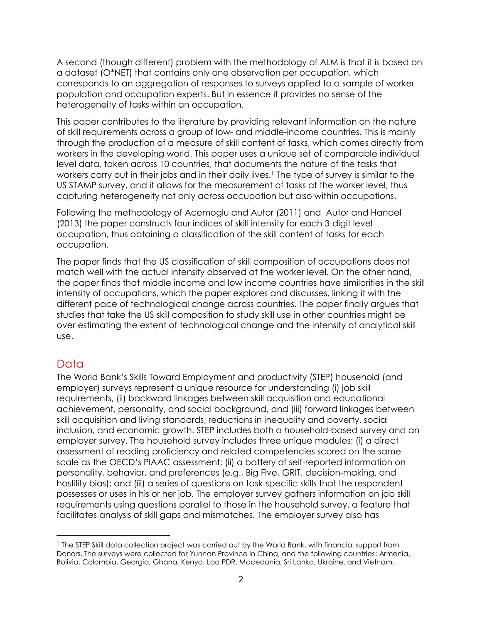A second (though different) problem with the methodology of ALM is that it is based on a dataset (O\*NET) that contains only one observation per occupation, which corresponds to an aggregation of responses to surveys applied to a sample of worker population and occupation experts. But in essence it provides no sense of the heterogeneity of tasks within an occupation.

This paper contributes to the literature by providing relevant information on the nature of skill requirements across a group of low- and middle-income countries. This is mainly through the production of a measure of skill content of tasks, which comes directly from workers in the developing world. This paper uses a unique set of comparable individual level data, taken across 10 countries, that documents the nature of the tasks that workers carry out in their jobs and in their daily lives.<sup>1</sup> The type of survey is similar to the US STAMP survey, and it allows for the measurement of tasks at the worker level, thus capturing heterogeneity not only across occupation but also within occupations.

Following the methodology of Acemoglu and Autor (2011) and Autor and Handel (2013) the paper constructs four indices of skill intensity for each 3-digit level occupation, thus obtaining a classification of the skill content of tasks for each occupation.

The paper finds that the US classification of skill composition of occupations does not match well with the actual intensity observed at the worker level. On the other hand, the paper finds that middle income and low income countries have similarities in the skill intensity of occupations, which the paper explores and discusses, linking it with the different pace of technological change across countries. The paper finally argues that studies that take the US skill composition to study skill use in other countries might be over estimating the extent of technological change and the intensity of analytical skill use.

### Data

The World Bank's Skills Toward Employment and productivity (STEP) household (and employer) surveys represent a unique resource for understanding (i) job skill requirements, (ii) backward linkages between skill acquisition and educational achievement, personality, and social background, and (iii) forward linkages between skill acquisition and living standards, reductions in inequality and poverty, social inclusion, and economic growth. STEP includes both a household-based survey and an employer survey. The household survey includes three unique modules: (i) a direct assessment of reading proficiency and related competencies scored on the same scale as the OECD's PIAAC assessment; (ii) a battery of self-reported information on personality, behavior, and preferences (e.g., Big Five, GRIT, decision-making, and hostility bias); and (iii) a series of questions on task-specific skills that the respondent possesses or uses in his or her job. The employer survey gathers information on job skill requirements using questions parallel to those in the household survey, a feature that facilitates analysis of skill gaps and mismatches. The employer survey also has

<sup>&</sup>lt;sup>1</sup> The STEP Skill data collection project was carried out by the World Bank, with financial support from Donors. The surveys were collected for Yunnan Province in China, and the following countries: Armenia, Bolivia, Colombia, Georgia, Ghana, Kenya, Lao PDR, Macedonia, Sri Lanka, Ukraine, and Vietnam.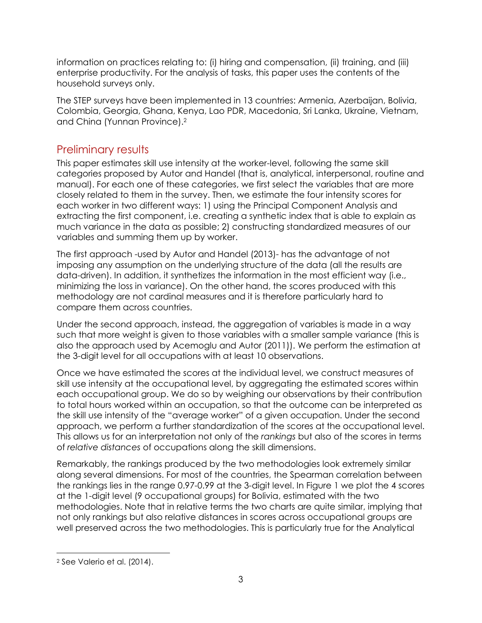information on practices relating to: (i) hiring and compensation, (ii) training, and (iii) enterprise productivity. For the analysis of tasks, this paper uses the contents of the household surveys only.

The STEP surveys have been implemented in 13 countries: Armenia, Azerbaijan, Bolivia, Colombia, Georgia, Ghana, Kenya, Lao PDR, Macedonia, Sri Lanka, Ukraine, Vietnam, and China (Yunnan Province).<sup>2</sup>

### Preliminary results

This paper estimates skill use intensity at the worker-level, following the same skill categories proposed by Autor and Handel (that is, analytical, interpersonal, routine and manual). For each one of these categories, we first select the variables that are more closely related to them in the survey. Then, we estimate the four intensity scores for each worker in two different ways: 1) using the Principal Component Analysis and extracting the first component, i.e. creating a synthetic index that is able to explain as much variance in the data as possible; 2) constructing standardized measures of our variables and summing them up by worker.

The first approach -used by Autor and Handel (2013)- has the advantage of not imposing any assumption on the underlying structure of the data (all the results are data-driven). In addition, it synthetizes the information in the most efficient way (i.e., minimizing the loss in variance). On the other hand, the scores produced with this methodology are not cardinal measures and it is therefore particularly hard to compare them across countries.

Under the second approach, instead, the aggregation of variables is made in a way such that more weight is given to those variables with a smaller sample variance (this is also the approach used by Acemoglu and Autor (2011)). We perform the estimation at the 3-digit level for all occupations with at least 10 observations.

Once we have estimated the scores at the individual level, we construct measures of skill use intensity at the occupational level, by aggregating the estimated scores within each occupational group. We do so by weighing our observations by their contribution to total hours worked within an occupation, so that the outcome can be interpreted as the skill use intensity of the "average worker" of a given occupation. Under the second approach, we perform a further standardization of the scores at the occupational level. This allows us for an interpretation not only of the *rankings* but also of the scores in terms of *relative distances* of occupations along the skill dimensions.

Remarkably, the rankings produced by the two methodologies look extremely similar along several dimensions. For most of the countries, the Spearman correlation between the rankings lies in the range 0.97-0.99 at the 3-digit level. In Figure 1 we plot the 4 scores at the 1-digit level (9 occupational groups) for Bolivia, estimated with the two methodologies. Note that in relative terms the two charts are quite similar, implying that not only rankings but also relative distances in scores across occupational groups are well preserved across the two methodologies. This is particularly true for the Analytical

 $\overline{a}$ 

<sup>2</sup> See Valerio et al. (2014).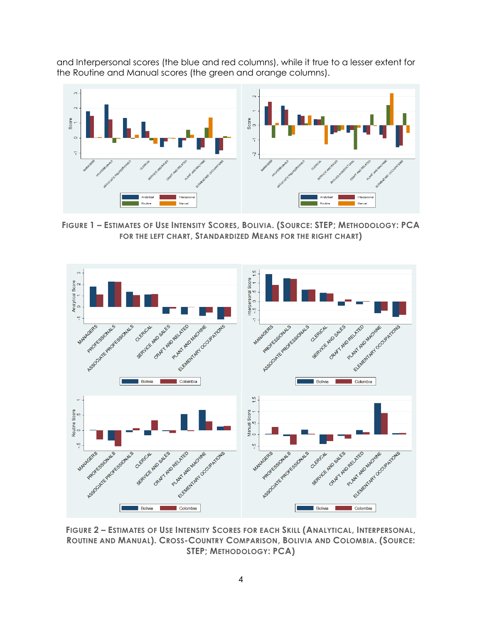and Interpersonal scores (the blue and red columns), while it true to a lesser extent for the Routine and Manual scores (the green and orange columns).



FIGURE 1 - ESTIMATES OF USE INTENSITY SCORES, BOLIVIA. (SOURCE: STEP; METHODOLOGY: PCA **FOR THE LEFT CHART, STANDARDIZED MEANS FOR THE RIGHT CHART)**



FIGURE 2 - ESTIMATES OF USE INTENSITY SCORES FOR EACH SKILL (ANALYTICAL, INTERPERSONAL, **ROUTINE AND MANUAL). CROSS-COUNTRY COMPARISON, BOLIVIA AND COLOMBIA. (SOURCE: STEP; METHODOLOGY: PCA)**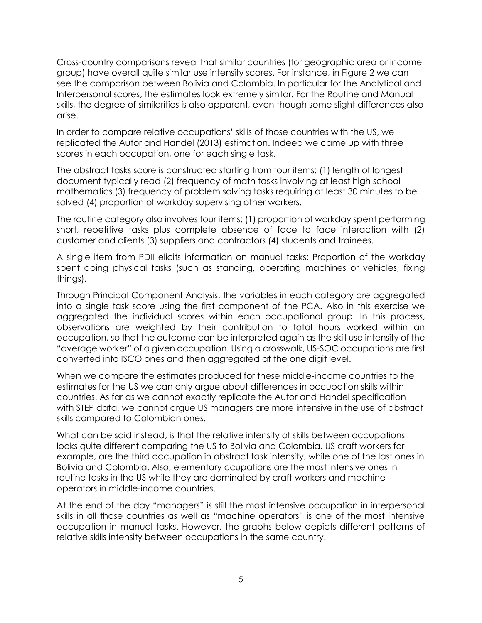Cross-country comparisons reveal that similar countries (for geographic area or income group) have overall quite similar use intensity scores. For instance, in Figure 2 we can see the comparison between Bolivia and Colombia. In particular for the Analytical and Interpersonal scores, the estimates look extremely similar. For the Routine and Manual skills, the degree of similarities is also apparent, even though some slight differences also arise.

In order to compare relative occupations' skills of those countries with the US, we replicated the Autor and Handel (2013) estimation. Indeed we came up with three scores in each occupation, one for each single task.

The abstract tasks score is constructed starting from four items: (1) length of longest document typically read (2) frequency of math tasks involving at least high school mathematics (3) frequency of problem solving tasks requiring at least 30 minutes to be solved (4) proportion of workday supervising other workers.

The routine category also involves four items: (1) proportion of workday spent performing short, repetitive tasks plus complete absence of face to face interaction with (2) customer and clients (3) suppliers and contractors (4) students and trainees.

A single item from PDII elicits information on manual tasks: Proportion of the workday spent doing physical tasks (such as standing, operating machines or vehicles, fixing things).

Through Principal Component Analysis, the variables in each category are aggregated into a single task score using the first component of the PCA. Also in this exercise we aggregated the individual scores within each occupational group. In this process, observations are weighted by their contribution to total hours worked within an occupation, so that the outcome can be interpreted again as the skill use intensity of the "average worker" of a given occupation. Using a crosswalk, US-SOC occupations are first converted into ISCO ones and then aggregated at the one digit level.

When we compare the estimates produced for these middle-income countries to the estimates for the US we can only argue about differences in occupation skills within countries. As far as we cannot exactly replicate the Autor and Handel specification with STEP data, we cannot argue US managers are more intensive in the use of abstract skills compared to Colombian ones.

What can be said instead, is that the relative intensity of skills between occupations looks quite different comparing the US to Bolivia and Colombia. US craft workers for example, are the third occupation in abstract task intensity, while one of the last ones in Bolivia and Colombia. Also, elementary ccupations are the most intensive ones in routine tasks in the US while they are dominated by craft workers and machine operators in middle-income countries.

At the end of the day "managers" is still the most intensive occupation in interpersonal skills in all those countries as well as "machine operators" is one of the most intensive occupation in manual tasks. However, the graphs below depicts different patterns of relative skills intensity between occupations in the same country.